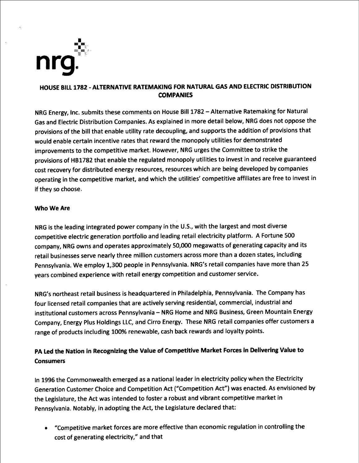

## HOUSE BILL 1782 - ALTERNATIVE RATEMAKING FOR NATURAL GAS AND ELECTRIC DISTRIBUTION **COMPANIES**

NRG Energy, Inc. submits these comments on House Bill 1782 - Alternative Ratemaking for Natural Gas and Electric Distribution Companies. As explained in more detail below, NRG does not oppose the provisions of the bill that enable utility rate decoupling, and supports the addition of provisions that would enable certain incentive rates that reward the monopoly utilities for demonstrated improvements to the competitive market. However, NRG urges the Committee to strike the provisions of HB1782 that enable the regulated monopoly utilities to invest in and receive guaranteed cost recovery for distributed energy resources, resources which are being developed by companies operating in the competitive market, and which the utilities' competitive affiliates are free to invest in if they so choose

#### Who We Are

NRG is the leading integrated power company in the U.S., with the largest and most diverse competitive electric generation portfolio and leading retail electricity platform. A Fortune 500 company, NRG owns and operates approximately 50,000 megawatts of generating capacity and its retail businesses serve nearly three million customers across more than a dozen states, including Pennsylvania. We employ 1,300 people in Pennsylvania. NRG's retail companies have more than 25 years combined experience with retail energy competition and customer service

NRG's northeast retail business is headquartered in Philadelphia, Pennsylvania. The Company has four licensed retail companies that are actively serving residential, commercial, industrial and institutional customers across Pennsylvania - NRG Home and NRG Business, Green Mountain Energy Company, Energy Plus Holdings LLC, and Cirro Energy. These NRG retail companies offer customers a range of products including 100% renewable, cash back rewards and loyalty points.

# PA Led the Nation in Recognizing the Value of Competitive Market Forces in Delivering Value to **Consumers**

In 1996 the Commonwealth emerged as a national leader in electricity policy when the Electricity Generation Customer Choice and Competition Act ("Competition Act") was enacted. As envisioned by the Legislature, the Act was intended to foster a robust and vibrant competitive market in Pennsylvania. Notably, in adopting the Act, the Legislature declared that:

B "Competitive market forces are more effective than economic regulation in controlling the cost of generating electricity," and that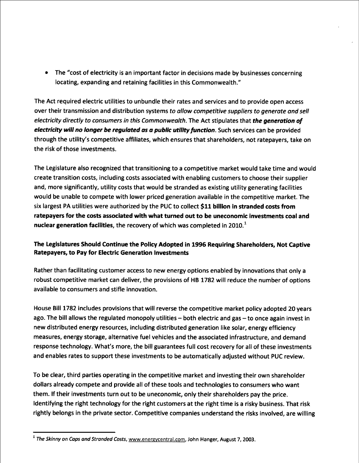e The "cost of electricity is an important factor in decisions made by businesses concerning locating, expanding and retaining facilities in this Commonwealth."

The Act required electric utilities to unbundle their rates and services and to provide open access over their transmission and distribution systems to allow competitive suppliers to generate and sell electricity directly to consumers in this Commonwealth. The Act stipulates that the generation of electricity will no longer be regulated as a public utility function. Such services can be provided through the utility's competitive affiliates, which ensures that shareholders, not ratepayers, take on the risk of those investments.

The Legislature also recognized that transitioning to a competitive market would take time and would create transition costs, including costs associated with enabling customers to choose their supplier and, more significantly, utility costs that would be stranded as existing utility generating facilities would be unable to compete with lower priced generation available in the competitive market. The six largest PA utilities were authorized by the PUC to collect \$11 billion in stranded costs from ratepayers for the costs associated with what turned out to be uneconomic investments coal and nuclear generation facilities, the recovery of which was completed in  $2010<sup>-1</sup>$ 

## The Legislatures Should Continue the Policy Adopted in 1996 Requiring Shareholders, Not Captive Ratepayers, to Pay for Electric Generation Investments

Rather than facilitating customer access to new energy options enabled by innovations that only a robust competitive market can deliver, the provisions of HB 1782 will reduce the number of options available to consumers and stifle innovation.

House Bill 1782 includes provisions that will reverse the competitive market policy adopted 20 years ago. The bill allows the regulated monopoly utilities  $-$  both electric and gas  $-$  to once again invest in new distributed energy resources, including distributed generation like solar, energy efficiency measures, energy storage, alternative fuel vehicles and the associated infrastructure, and demand response technology. What's more, the bill guarantees full cost recovery for all of these investments and enables rates to support these investments to be automatically adjusted without PUC review.

To be clear, third parties operating in the competitive market and investing their own shareholder dollars already compete and provide all of these tools and technologies to consumers who want them. If their investments turn out to be uneconomic, only their shareholders pay the price. Identifying the right technology for the right customers at the right time is a risky business. That risk rightly belongs in the private sector. Competitive companies understand the risks involved, are willing

 $<sup>1</sup>$  The Skinny on Caps and Stranded Costs, www.energycentral.com, John Hanger, August 7, 2003.</sup>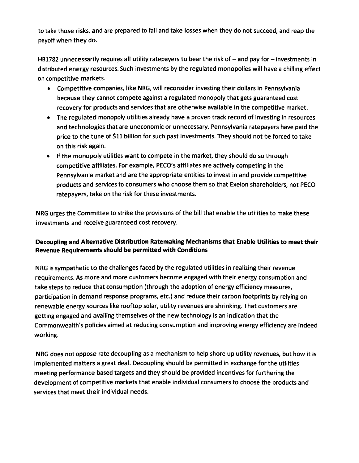to take those risks, and are prepared to fail and take losses when they do not succeed, and reap the payoff when they do.

HB1782 unnecessarily requires all utility ratepayers to bear the risk of  $-$  and pay for  $-$  investments in distributed energy resources. Such investments by the regulated monopolies will have a chilling effect on competitive markets.

- e Competitive companies, like NRG, will reconsider investing their dollars in Pennsylvania because they cannot compete against a regulated monopoly that gets guaranteed cost recovery for products and services that are otherwise available in the competitive market.
- e The regulated monopoly utilities already have a proven track record of investing in resources and technologies that are uneconomic or unnecessary. Pennsylvania ratepayers have paid the price to the tune of \$11 billion for such past investments. They should not be forced to take on this risk again.
- If the monopoly utilities want to compete in the market, they should do so through competitive affiliates. For example, PECO's affiliates are actively competing in the Pennsylvania market and are the appropriate entities to invest in and provide competitive products and services to consumers who choose them so that Exelon shareholders, not PECO ratepayers, take on the risk for these investments.

NRG urges the Committee to strike the provisions of the bill that enable the utilities to make these investments and receive guaranteed cost recovery.

## Decoupling and Alternative Distribution Ratemaking Mechanisms that Enable Utilities to meet their Revenue Requirements should be permitted with Conditions

NRG is sympathetic to the challenges faced by the regulated utilities in realizing their revenue requirements. As more and more customers become engaged with their energy consumption and take steps to reduce that consumption (through the adoption of energy efficiency measures, participation in demand response programs, etc.) and reduce their carbon footprints by relying on renewable energy sources like rooftop solar, utility revenues are shrinking. That customers are getting engaged and availing themselves of the new technology is an indication that the Commonwealth's policies aimed at reducing consumption and improving energy efficiency are indeed working.

NRG does not oppose rate decoupling as a mechanism to help shore up utility revenues, but how it is implemented matters a great deal. Decoupling should be permitted in exchange for the utilities meeting performance based targets and they should be provided incentives for furthering the development of competitive markets that enable individual consumers to choose the products and services that meet their individual needs.